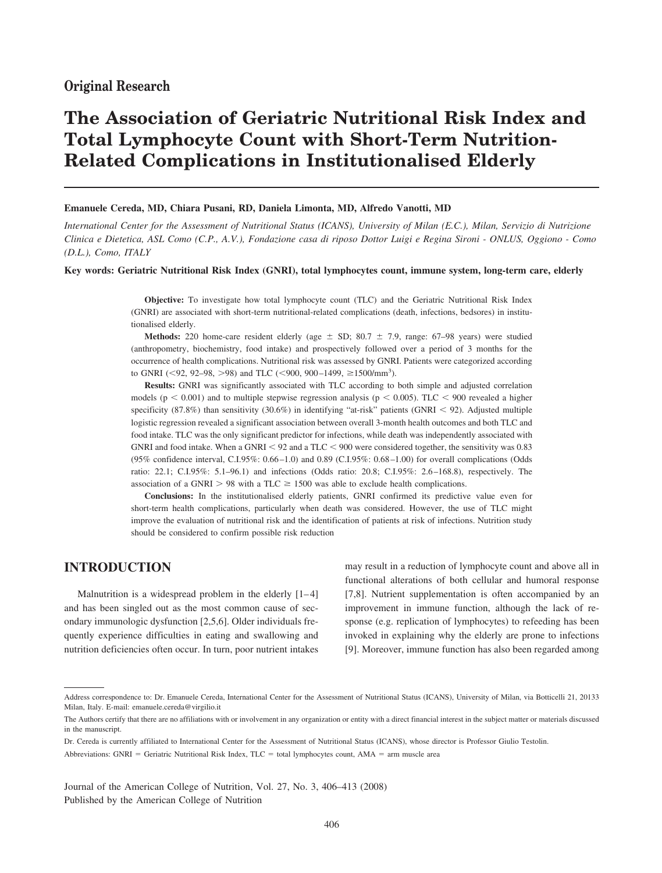## **Original Research**

# **The Association of Geriatric Nutritional Risk Index and Total Lymphocyte Count with Short-Term Nutrition-Related Complications in Institutionalised Elderly**

#### **Emanuele Cereda, MD, Chiara Pusani, RD, Daniela Limonta, MD, Alfredo Vanotti, MD**

*International Center for the Assessment of Nutritional Status (ICANS), University of Milan (E.C.), Milan, Servizio di Nutrizione Clinica e Dietetica, ASL Como (C.P., A.V.), Fondazione casa di riposo Dottor Luigi e Regina Sironi - ONLUS, Oggiono - Como (D.L.), Como, ITALY*

#### **Key words: Geriatric Nutritional Risk Index (GNRI), total lymphocytes count, immune system, long-term care, elderly**

**Objective:** To investigate how total lymphocyte count (TLC) and the Geriatric Nutritional Risk Index (GNRI) are associated with short-term nutritional-related complications (death, infections, bedsores) in institutionalised elderly.

**Methods:** 220 home-care resident elderly (age  $\pm$  SD; 80.7  $\pm$  7.9, range: 67–98 years) were studied (anthropometry, biochemistry, food intake) and prospectively followed over a period of 3 months for the occurrence of health complications. Nutritional risk was assessed by GNRI. Patients were categorized according to GNRI (<92, 92-98, >98) and TLC (<900, 900-1499,  $\geq$ 1500/mm<sup>3</sup>).

**Results:** GNRI was significantly associated with TLC according to both simple and adjusted correlation models ( $p < 0.001$ ) and to multiple stepwise regression analysis ( $p < 0.005$ ). TLC < 900 revealed a higher specificity (87.8%) than sensitivity (30.6%) in identifying "at-risk" patients (GNRI < 92). Adjusted multiple logistic regression revealed a significant association between overall 3-month health outcomes and both TLC and food intake. TLC was the only significant predictor for infections, while death was independently associated with GNRI and food intake. When a GNRI  $\leq$  92 and a TLC  $\leq$  900 were considered together, the sensitivity was 0.83 (95% confidence interval, C.I.95%: 0.66 –1.0) and 0.89 (C.I.95%: 0.68 –1.00) for overall complications (Odds ratio: 22.1; C.I.95%: 5.1–96.1) and infections (Odds ratio: 20.8; C.I.95%: 2.6 –168.8), respectively. The association of a GNRI  $> 98$  with a TLC  $\geq 1500$  was able to exclude health complications.

**Conclusions:** In the institutionalised elderly patients, GNRI confirmed its predictive value even for short-term health complications, particularly when death was considered. However, the use of TLC might improve the evaluation of nutritional risk and the identification of patients at risk of infections. Nutrition study should be considered to confirm possible risk reduction

## **INTRODUCTION**

Malnutrition is a widespread problem in the elderly  $[1-4]$ and has been singled out as the most common cause of secondary immunologic dysfunction [2,5,6]. Older individuals frequently experience difficulties in eating and swallowing and nutrition deficiencies often occur. In turn, poor nutrient intakes

may result in a reduction of lymphocyte count and above all in functional alterations of both cellular and humoral response [7,8]. Nutrient supplementation is often accompanied by an improvement in immune function, although the lack of response (e.g. replication of lymphocytes) to refeeding has been invoked in explaining why the elderly are prone to infections [9]. Moreover, immune function has also been regarded among

Journal of the American College of Nutrition, Vol. 27, No. 3, 406–413 (2008) Published by the American College of Nutrition

Address correspondence to: Dr. Emanuele Cereda, International Center for the Assessment of Nutritional Status (ICANS), University of Milan, via Botticelli 21, 20133 Milan, Italy. E-mail: emanuele.cereda@virgilio.it

The Authors certify that there are no affiliations with or involvement in any organization or entity with a direct financial interest in the subject matter or materials discussed in the manuscript.

Dr. Cereda is currently affiliated to International Center for the Assessment of Nutritional Status (ICANS), whose director is Professor Giulio Testolin. Abbreviations: GNRI = Geriatric Nutritional Risk Index, TLC = total lymphocytes count, AMA = arm muscle area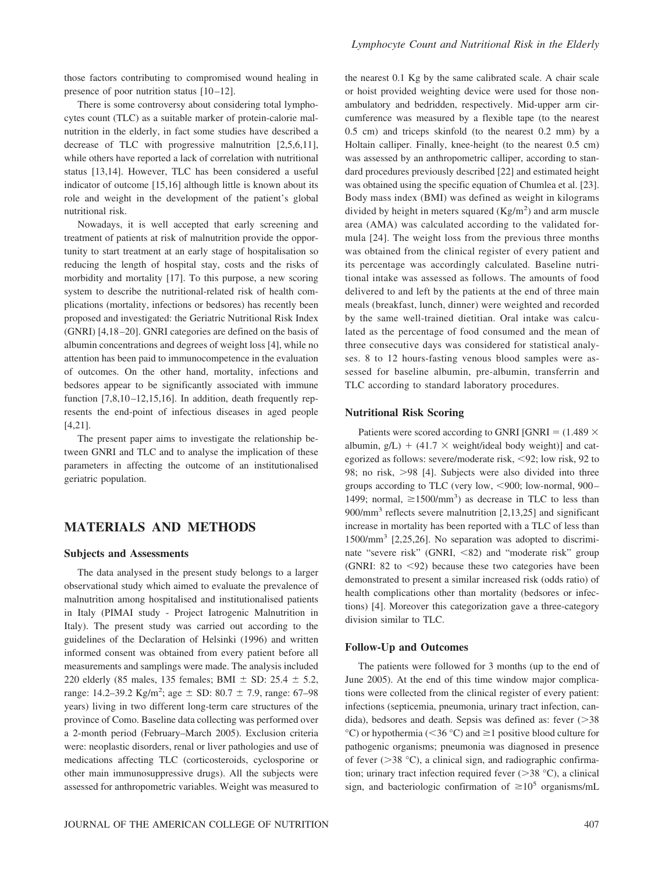those factors contributing to compromised wound healing in presence of poor nutrition status  $[10-12]$ .

There is some controversy about considering total lymphocytes count (TLC) as a suitable marker of protein-calorie malnutrition in the elderly, in fact some studies have described a decrease of TLC with progressive malnutrition [2,5,6,11], while others have reported a lack of correlation with nutritional status [13,14]. However, TLC has been considered a useful indicator of outcome [15,16] although little is known about its role and weight in the development of the patient's global nutritional risk.

Nowadays, it is well accepted that early screening and treatment of patients at risk of malnutrition provide the opportunity to start treatment at an early stage of hospitalisation so reducing the length of hospital stay, costs and the risks of morbidity and mortality [17]. To this purpose, a new scoring system to describe the nutritional-related risk of health complications (mortality, infections or bedsores) has recently been proposed and investigated: the Geriatric Nutritional Risk Index (GNRI) [4,18 –20]. GNRI categories are defined on the basis of albumin concentrations and degrees of weight loss [4], while no attention has been paid to immunocompetence in the evaluation of outcomes. On the other hand, mortality, infections and bedsores appear to be significantly associated with immune function  $[7,8,10-12,15,16]$ . In addition, death frequently represents the end-point of infectious diseases in aged people [4,21].

The present paper aims to investigate the relationship between GNRI and TLC and to analyse the implication of these parameters in affecting the outcome of an institutionalised geriatric population.

## **MATERIALS AND METHODS**

#### **Subjects and Assessments**

The data analysed in the present study belongs to a larger observational study which aimed to evaluate the prevalence of malnutrition among hospitalised and institutionalised patients in Italy (PIMAI study - Project Iatrogenic Malnutrition in Italy). The present study was carried out according to the guidelines of the Declaration of Helsinki (1996) and written informed consent was obtained from every patient before all measurements and samplings were made. The analysis included 220 elderly (85 males, 135 females; BMI  $\pm$  SD: 25.4  $\pm$  5.2, range: 14.2–39.2 Kg/m<sup>2</sup>; age  $\pm$  SD: 80.7  $\pm$  7.9, range: 67–98 years) living in two different long-term care structures of the province of Como. Baseline data collecting was performed over a 2-month period (February–March 2005). Exclusion criteria were: neoplastic disorders, renal or liver pathologies and use of medications affecting TLC (corticosteroids, cyclosporine or other main immunosuppressive drugs). All the subjects were assessed for anthropometric variables. Weight was measured to

the nearest 0.1 Kg by the same calibrated scale. A chair scale or hoist provided weighting device were used for those nonambulatory and bedridden, respectively. Mid-upper arm circumference was measured by a flexible tape (to the nearest 0.5 cm) and triceps skinfold (to the nearest 0.2 mm) by a Holtain calliper. Finally, knee-height (to the nearest 0.5 cm) was assessed by an anthropometric calliper, according to standard procedures previously described [22] and estimated height was obtained using the specific equation of Chumlea et al. [23]. Body mass index (BMI) was defined as weight in kilograms divided by height in meters squared  $(Kg/m<sup>2</sup>)$  and arm muscle area (AMA) was calculated according to the validated formula [24]. The weight loss from the previous three months was obtained from the clinical register of every patient and its percentage was accordingly calculated. Baseline nutritional intake was assessed as follows. The amounts of food delivered to and left by the patients at the end of three main meals (breakfast, lunch, dinner) were weighted and recorded by the same well-trained dietitian. Oral intake was calculated as the percentage of food consumed and the mean of three consecutive days was considered for statistical analyses. 8 to 12 hours-fasting venous blood samples were assessed for baseline albumin, pre-albumin, transferrin and TLC according to standard laboratory procedures.

#### **Nutritional Risk Scoring**

Patients were scored according to GNRI [GNRI =  $(1.489 \times$ albumin,  $g/L$ ) + (41.7  $\times$  weight/ideal body weight)] and categorized as follows: severe/moderate risk, <92; low risk, 92 to 98; no risk, >98 [4]. Subjects were also divided into three groups according to TLC (very low, <900; low-normal, 900-1499; normal,  $\geq 1500/\text{mm}^3$ ) as decrease in TLC to less than  $900/\text{mm}^3$  reflects severe malnutrition [2,13,25] and significant increase in mortality has been reported with a TLC of less than 1500/mm3 [2,25,26]. No separation was adopted to discriminate "severe risk" (GNRI, <82) and "moderate risk" group (GNRI:  $82$  to  $\leq 92$ ) because these two categories have been demonstrated to present a similar increased risk (odds ratio) of health complications other than mortality (bedsores or infections) [4]. Moreover this categorization gave a three-category division similar to TLC.

#### **Follow-Up and Outcomes**

The patients were followed for 3 months (up to the end of June 2005). At the end of this time window major complications were collected from the clinical register of every patient: infections (septicemia, pneumonia, urinary tract infection, candida), bedsores and death. Sepsis was defined as: fever  $(>\;38)$  $^{\circ}$ C) or hypothermia (<36  $^{\circ}$ C) and  $\geq$ 1 positive blood culture for pathogenic organisms; pneumonia was diagnosed in presence of fever  $(>38 \text{ °C})$ , a clinical sign, and radiographic confirmation; urinary tract infection required fever  $(>38 \degree C)$ , a clinical sign, and bacteriologic confirmation of  $\geq 10^5$  organisms/mL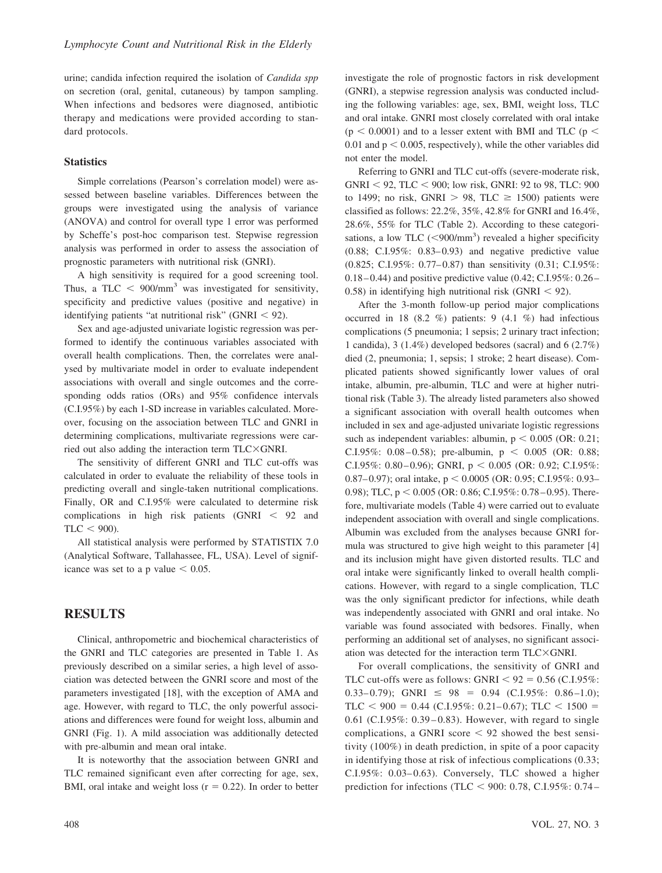urine; candida infection required the isolation of *Candida spp* on secretion (oral, genital, cutaneous) by tampon sampling. When infections and bedsores were diagnosed, antibiotic therapy and medications were provided according to standard protocols.

### **Statistics**

Simple correlations (Pearson's correlation model) were assessed between baseline variables. Differences between the groups were investigated using the analysis of variance (ANOVA) and control for overall type 1 error was performed by Scheffe's post-hoc comparison test. Stepwise regression analysis was performed in order to assess the association of prognostic parameters with nutritional risk (GNRI).

A high sensitivity is required for a good screening tool. Thus, a TLC  $\leq$  900/mm<sup>3</sup> was investigated for sensitivity, specificity and predictive values (positive and negative) in identifying patients "at nutritional risk" (GNRI  $<$  92).

Sex and age-adjusted univariate logistic regression was performed to identify the continuous variables associated with overall health complications. Then, the correlates were analysed by multivariate model in order to evaluate independent associations with overall and single outcomes and the corresponding odds ratios (ORs) and 95% confidence intervals (C.I.95%) by each 1-SD increase in variables calculated. Moreover, focusing on the association between TLC and GNRI in determining complications, multivariate regressions were carried out also adding the interaction term  $TLC \times GNRI$ .

The sensitivity of different GNRI and TLC cut-offs was calculated in order to evaluate the reliability of these tools in predicting overall and single-taken nutritional complications. Finally, OR and C.I.95% were calculated to determine risk complications in high risk patients  $(GNRI < 92$  and  $TLC < 900$ ).

All statistical analysis were performed by STATISTIX 7.0 (Analytical Software, Tallahassee, FL, USA). Level of significance was set to a p value  $< 0.05$ .

## **RESULTS**

Clinical, anthropometric and biochemical characteristics of the GNRI and TLC categories are presented in Table 1. As previously described on a similar series, a high level of association was detected between the GNRI score and most of the parameters investigated [18], with the exception of AMA and age. However, with regard to TLC, the only powerful associations and differences were found for weight loss, albumin and GNRI (Fig. 1). A mild association was additionally detected with pre-albumin and mean oral intake.

It is noteworthy that the association between GNRI and TLC remained significant even after correcting for age, sex, BMI, oral intake and weight loss ( $r = 0.22$ ). In order to better investigate the role of prognostic factors in risk development (GNRI), a stepwise regression analysis was conducted including the following variables: age, sex, BMI, weight loss, TLC and oral intake. GNRI most closely correlated with oral intake  $(p < 0.0001)$  and to a lesser extent with BMI and TLC ( $p <$ 0.01 and  $p < 0.005$ , respectively), while the other variables did not enter the model.

Referring to GNRI and TLC cut-offs (severe-moderate risk,  $GNRI < 92$ , TLC  $< 900$ ; low risk, GNRI: 92 to 98, TLC: 900 to 1499; no risk, GNRI  $> 98$ , TLC  $\geq 1500$ ) patients were classified as follows: 22.2%, 35%, 42.8% for GNRI and 16.4%, 28.6%, 55% for TLC (Table 2). According to these categorisations, a low TLC  $(<$  900/mm<sup>3</sup>) revealed a higher specificity (0.88; C.I.95%: 0.83– 0.93) and negative predictive value (0.825; C.I.95%: 0.77– 0.87) than sensitivity (0.31; C.I.95%: 0.18 – 0.44) and positive predictive value (0.42; C.I.95%: 0.26 – 0.58) in identifying high nutritional risk (GNRI  $<$  92).

After the 3-month follow-up period major complications occurred in 18 (8.2 %) patients: 9 (4.1 %) had infectious complications (5 pneumonia; 1 sepsis; 2 urinary tract infection; 1 candida), 3 (1.4%) developed bedsores (sacral) and 6 (2.7%) died (2, pneumonia; 1, sepsis; 1 stroke; 2 heart disease). Complicated patients showed significantly lower values of oral intake, albumin, pre-albumin, TLC and were at higher nutritional risk (Table 3). The already listed parameters also showed a significant association with overall health outcomes when included in sex and age-adjusted univariate logistic regressions such as independent variables: albumin,  $p < 0.005$  (OR: 0.21; C.I.95%: 0.08 – 0.58); pre-albumin,  $p < 0.005$  (OR: 0.88; C.I.95%: 0.80–0.96); GNRI,  $p < 0.005$  (OR: 0.92; C.I.95%: 0.87–0.97); oral intake,  $p < 0.0005$  (OR: 0.95; C.I.95%: 0.93– 0.98); TLC,  $p < 0.005$  (OR: 0.86; C.I.95%: 0.78–0.95). Therefore, multivariate models (Table 4) were carried out to evaluate independent association with overall and single complications. Albumin was excluded from the analyses because GNRI formula was structured to give high weight to this parameter [4] and its inclusion might have given distorted results. TLC and oral intake were significantly linked to overall health complications. However, with regard to a single complication, TLC was the only significant predictor for infections, while death was independently associated with GNRI and oral intake. No variable was found associated with bedsores. Finally, when performing an additional set of analyses, no significant association was detected for the interaction term  $TLC \times GNRI$ .

For overall complications, the sensitivity of GNRI and TLC cut-offs were as follows: GNRI  $< 92 = 0.56$  (C.I.95%:  $0.33-0.79$ ; GNRI  $\leq 98 = 0.94$  (C.I.95%: 0.86-1.0); TLC <  $900 = 0.44$  (C.I.95%: 0.21-0.67); TLC < 1500 = 0.61 (C.I.95%: 0.39–0.83). However, with regard to single complications, a GNRI score  $\leq 92$  showed the best sensitivity (100%) in death prediction, in spite of a poor capacity in identifying those at risk of infectious complications (0.33;  $C.I.95\%$ : 0.03–0.63). Conversely, TLC showed a higher prediction for infections (TLC  $<$  900: 0.78, C.I.95%: 0.74–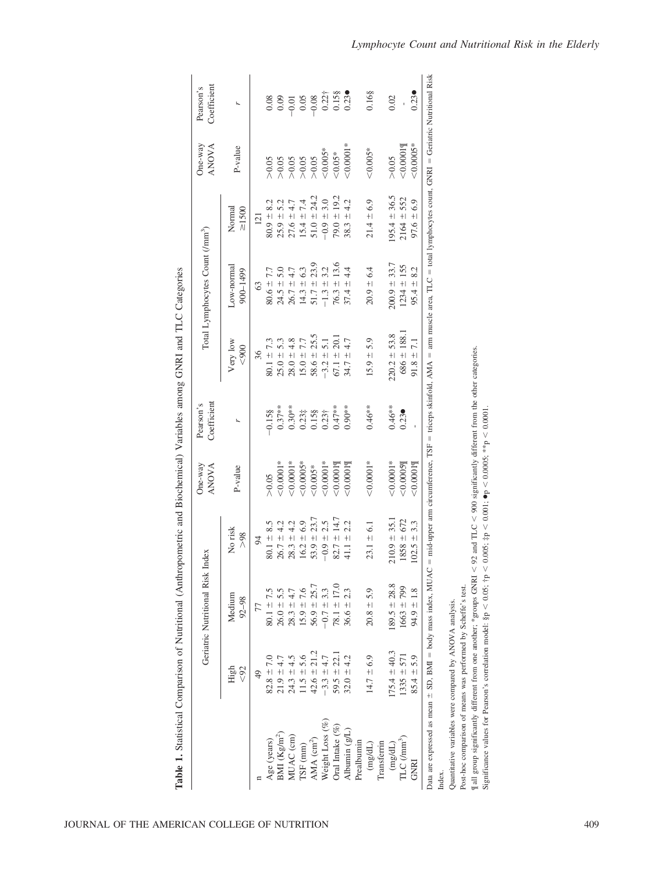|                                                                  |                                  | Geriatric Nutritional Risk       | Index                        | $One-way$<br><b>ANOVA</b> | Coefficient<br>Pearson's |                                                                                                                                                | Total Lymphocytes Count (/mm <sup>3</sup> ) |                                | $One-way$<br><b>ANOVA</b>                                | Coefficient<br>Pearson's |
|------------------------------------------------------------------|----------------------------------|----------------------------------|------------------------------|---------------------------|--------------------------|------------------------------------------------------------------------------------------------------------------------------------------------|---------------------------------------------|--------------------------------|----------------------------------------------------------|--------------------------|
|                                                                  | High<br>$92$                     | Medium<br>$92 - 98$              | No risk<br>>98               | P-value                   |                          | Very low<br>< 900                                                                                                                              | Low-normal<br>900-1499                      | $\geq 1500$<br>Normal          | P-value                                                  |                          |
|                                                                  | $\frac{4}{9}$                    | 77                               | 94                           |                           |                          | 36                                                                                                                                             | 63                                          | 121                            |                                                          |                          |
| BMI $(Kg/m^2)$<br>Age (years)                                    | $82.8 \pm 7.0$<br>$21.9 \pm 4.7$ | $80.1 \pm 7.5$<br>$26.0 \pm 5.5$ | $80.1 \pm 8.5$<br>$26.7 \pm$ | $20.0001*$<br>> 0.05      | $0.37***$<br>$-0.158$    | $80.1 \pm 7.3$<br>$25.0 \pm 5.3$                                                                                                               | 7.7<br>$-50.08$<br>$24.5 \pm$               | $80.9 \pm 8.2$<br>$25.9 \pm 1$ | > 0.05                                                   | 8800000000000            |
| MUAC (cm)                                                        | $24.3 \pm 4.5$                   | $28.3 \pm 4.7$                   | $28.3 \pm 4.2$               | $0.0001*$                 | $0.30**$                 | $28.0 \pm 4.8$                                                                                                                                 | $26.7 \pm 4.7$                              | $27.6 \pm 4.7$                 | $\frac{26}{200}$<br>$\frac{26}{200}$<br>$\frac{26}{200}$ |                          |
| $TSF$ (mm)                                                       | $1.5 \pm 5.6$                    | $15.9 \pm 7.6$                   | $16.2 \pm 6.9$               | 500005                    | $0.23\ddagger$           | $15.0 \pm 7.7$                                                                                                                                 | 6.3<br>$14.3 +$                             | 7.4<br>$15.4 \pm 7$            |                                                          |                          |
| $AMA$ (cm <sup>2</sup> )                                         | $42.6 \pm 21.2$                  | $56.9 \pm 25.7$                  | $53.9 \pm 23.7$              | $0.005*$                  | 0.15§                    | $58.6 \pm 25.5$                                                                                                                                | $51.7 \pm 23.9$                             | $51.0 \pm 24.2$                |                                                          |                          |
| Weight Loss (%)                                                  | $-3.3 \pm 4.7$                   | $-0.7 \pm 3.3$                   | 2.5<br>$-0.9 +$              | $0.0001*$                 | $0.23 +$                 | $-3.2 \pm 5.1$                                                                                                                                 | 3.2<br>$-1.3 +$                             | $-0.9 \pm 3.0$                 | $< 0.005*$                                               |                          |
| Oral Intake (%)                                                  | $59.5 \pm 22$ .                  | $78.1 \pm 17.0$                  | $82.7 \pm 14.7$              | 50.00019                  | $0.47***$                | $67.1 \pm 20.$                                                                                                                                 | $76.3 \pm 13.6$                             | $79.0 \pm 19.2$                | $< 0.05*$                                                | $0.22$ †<br>0.158        |
| Albumin $(g/L)$                                                  | $32.0 \pm 4.2$                   | $36.6 \pm 2.3$                   | $41.1 \pm 2.2$               | 20.0001                   | $0.90**$                 | $34.7 \pm 4.7$                                                                                                                                 | $37.4 \pm 4.4$                              | 4.2<br>$38.3 +$                | $0.0001*$                                                | 0.23                     |
| Prealbumin                                                       |                                  |                                  |                              |                           |                          |                                                                                                                                                |                                             |                                |                                                          |                          |
| (mg/dL)                                                          | $14.7 \pm 6.9$                   | $20.8 \pm 5.9$                   | $23.1 \pm 6.1$               | $0.0001*$                 | $0.46**$                 | $15.9 \pm 5.9$                                                                                                                                 | $20.9 \pm 6.4$                              | $21.4 \pm 6.9$                 | $<\!\!0.005*$                                            | 0.16§                    |
| Transferrin                                                      |                                  |                                  |                              |                           |                          |                                                                                                                                                |                                             |                                |                                                          |                          |
| (mg/dL)                                                          | $75.4 \pm 40.3$                  | $189.5 \pm 28.8$                 | $210.9 \pm 35.$              | $0.0001*$                 | $0.46**$                 | $220.2 \pm 53.8$                                                                                                                               | $200.9 \pm 33.7$                            | $95.4 \pm 36.5$                | > 0.05                                                   | 0.02                     |
| TLC (mm <sup>3</sup> )                                           | $1335 \pm 571$                   | $1663 + 799$                     | $1858 \pm 672$               | < 0.0005                  | 0.23                     | $686 \pm 188.1$                                                                                                                                | $1234 \pm 155$                              | 552<br>$2164 \pm$              | < 0.0001                                                 |                          |
| <b>GNRI</b>                                                      | $85.4 \pm 5.9$                   | $94.9 \pm 1.8$                   | $102.5 \pm 3.3$              | 50.00019                  |                          | $91.8 \pm 7.1$                                                                                                                                 | $95.4 \pm 8.2$                              | $97.6 \pm 6.9$                 | $0.0005*$                                                | 0.23                     |
| Data are expressed as mean $\pm$ SD, BMI = body mass index, MUAC |                                  |                                  |                              |                           |                          | = mid-upper arm circumference, TSF = triceps skinfold, AMA = arm muscle area, TLC = total lymphocytes count, GNRI = Geriatric Nutritional Risk |                                             |                                |                                                          |                          |
| Index.                                                           |                                  |                                  |                              |                           |                          |                                                                                                                                                |                                             |                                |                                                          |                          |

Table 1. Statistical Comparison of Nutritional (Anthropometric and Biochemical) Variables among GNRI and TLC Categories **Table 1.** Statistical Comparison of Nutritional (Anthropometric and Biochemical) Variables among GNRI and TLC Categories

Quantitative variables were compared by ANOVA analysis. Quantitative variables were compared by ANOVA analysis.

Post-hoc comparison of means was performed by Scheffe's test. Post-hoc comparison of means was performed by Scheffe's test.

¶ all group significantly different from one another; \*groups GNRI - $< 92$  and TLC V 900 significantly different from the other categories.

Significance values for Pearson's correlation model: §p  $< 0.05$ ; †p  $<$  $< 0.005$ ; ‡p - $< 0.001$ ;  $\bullet$ p  $<$  $< 0.0005; **p$ - $< 0.0001$ .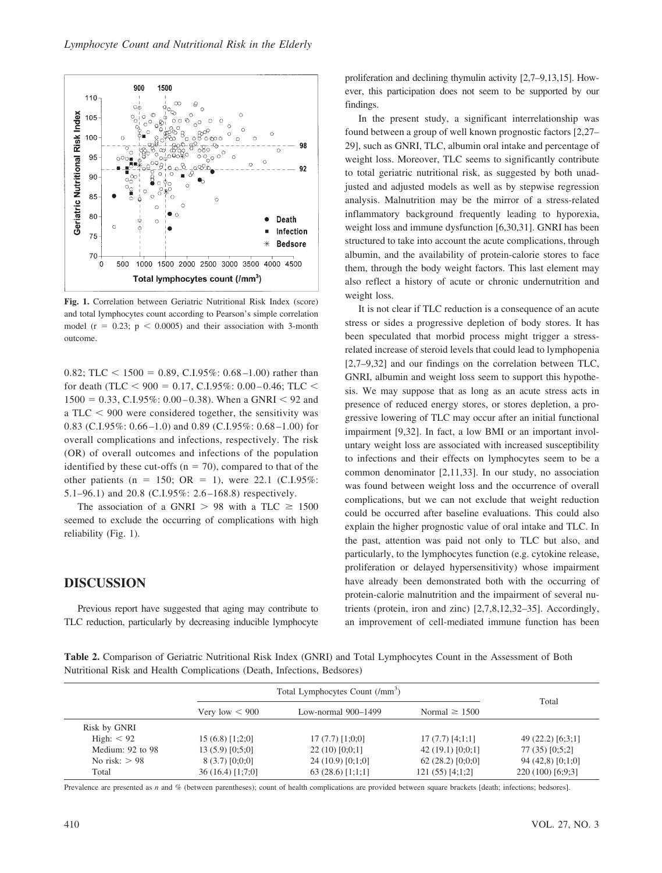

**Fig. 1.** Correlation between Geriatric Nutritional Risk Index (score) and total lymphocytes count according to Pearson's simple correlation model ( $r = 0.23$ ;  $p < 0.0005$ ) and their association with 3-month outcome.

0.82; TLC  $\lt$  1500 = 0.89, C.I.95%: 0.68–1.00) rather than for death (TLC  $<$  900 = 0.17, C.I.95%: 0.00–0.46; TLC  $<$  $1500 = 0.33$ , C.I.95%: 0.00–0.38). When a GNRI < 92 and a TLC  $<$  900 were considered together, the sensitivity was 0.83 (C.I.95%: 0.66 –1.0) and 0.89 (C.I.95%: 0.68 –1.00) for overall complications and infections, respectively. The risk (OR) of overall outcomes and infections of the population identified by these cut-offs ( $n = 70$ ), compared to that of the other patients (n = 150; OR = 1), were 22.1 (C.I.95%: 5.1–96.1) and 20.8 (C.I.95%: 2.6 –168.8) respectively.

The association of a GNRI  $> 98$  with a TLC  $\geq 1500$ seemed to exclude the occurring of complications with high reliability (Fig. 1).

## **DISCUSSION**

Previous report have suggested that aging may contribute to TLC reduction, particularly by decreasing inducible lymphocyte proliferation and declining thymulin activity [2,7–9,13,15]. However, this participation does not seem to be supported by our findings.

In the present study, a significant interrelationship was found between a group of well known prognostic factors [2,27– 29], such as GNRI, TLC, albumin oral intake and percentage of weight loss. Moreover, TLC seems to significantly contribute to total geriatric nutritional risk, as suggested by both unadjusted and adjusted models as well as by stepwise regression analysis. Malnutrition may be the mirror of a stress-related inflammatory background frequently leading to hyporexia, weight loss and immune dysfunction [6,30,31]. GNRI has been structured to take into account the acute complications, through albumin, and the availability of protein-calorie stores to face them, through the body weight factors. This last element may also reflect a history of acute or chronic undernutrition and weight loss.

It is not clear if TLC reduction is a consequence of an acute stress or sides a progressive depletion of body stores. It has been speculated that morbid process might trigger a stressrelated increase of steroid levels that could lead to lymphopenia [2,7–9,32] and our findings on the correlation between TLC, GNRI, albumin and weight loss seem to support this hypothesis. We may suppose that as long as an acute stress acts in presence of reduced energy stores, or stores depletion, a progressive lowering of TLC may occur after an initial functional impairment [9,32]. In fact, a low BMI or an important involuntary weight loss are associated with increased susceptibility to infections and their effects on lymphocytes seem to be a common denominator [2,11,33]. In our study, no association was found between weight loss and the occurrence of overall complications, but we can not exclude that weight reduction could be occurred after baseline evaluations. This could also explain the higher prognostic value of oral intake and TLC. In the past, attention was paid not only to TLC but also, and particularly, to the lymphocytes function (e.g. cytokine release, proliferation or delayed hypersensitivity) whose impairment have already been demonstrated both with the occurring of protein-calorie malnutrition and the impairment of several nutrients (protein, iron and zinc) [2,7,8,12,32–35]. Accordingly, an improvement of cell-mediated immune function has been

**Table 2.** Comparison of Geriatric Nutritional Risk Index (GNRI) and Total Lymphocytes Count in the Assessment of Both Nutritional Risk and Health Complications (Death, Infections, Bedsores)

|                  | Total Lymphocytes Count (/mm <sup>3</sup> ) |                       |                    | Total              |
|------------------|---------------------------------------------|-----------------------|--------------------|--------------------|
|                  | Very low $\leq 900$                         | Low-normal $900-1499$ | Normal $\geq 1500$ |                    |
| Risk by GNRI     |                                             |                       |                    |                    |
| High: $< 92$     | $15(6.8)$ [1:2:0]                           | $17(7.7)$ [1:0:0]     | $17(7.7)$ [4:1:1]  | $49(22.2)$ [6:3:1] |
| Medium: 92 to 98 | 13(5.9)[0;5;0]                              | $22(10)$ [0;0;1]      | 42(19.1)[0;0;1]    | 77(35)[0;5;2]      |
| No risk: $> 98$  | $8(3.7)$ [0;0;0]                            | 24(10.9)[0;1;0]       | $62(28.2)$ [0;0;0] | 94(42,8)[0;1;0]    |
| Total            | $36(16.4)$ [1;7;0]                          | $63(28.6)$ [1;1;1]    | $121(55)$ [4;1;2]  | $220(100)$ [6;9;3] |

Prevalence are presented as *n* and % (between parentheses); count of health complications are provided between square brackets [death; infections; bedsores].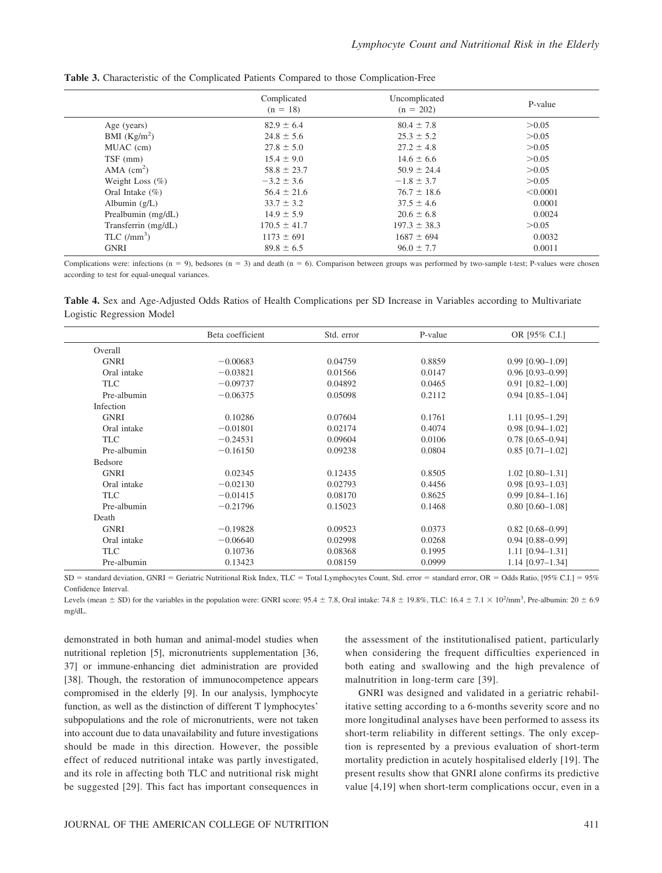|                            | Complicated<br>$(n = 18)$ | Uncomplicated<br>$(n = 202)$ | P-value  |
|----------------------------|---------------------------|------------------------------|----------|
| Age (years)                | $82.9 \pm 6.4$            | $80.4 \pm 7.8$               | > 0.05   |
| BMI $(Kg/m^2)$             | $24.8 \pm 5.6$            | $25.3 \pm 5.2$               | > 0.05   |
| MUAC (cm)                  | $27.8 \pm 5.0$            | $27.2 \pm 4.8$               | > 0.05   |
| TSF (mm)                   | $15.4 \pm 9.0$            | $14.6 \pm 6.6$               | > 0.05   |
| AMA $\text{(cm}^2\text{)}$ | $58.8 \pm 23.7$           | $50.9 \pm 24.4$              | > 0.05   |
| Weight Loss $(\% )$        | $-3.2 \pm 3.6$            | $-1.8 \pm 3.7$               | > 0.05   |
| Oral Intake $(\% )$        | $56.4 \pm 21.6$           | $76.7 \pm 18.6$              | < 0.0001 |
| Albumin $(g/L)$            | $33.7 \pm 3.2$            | $37.5 \pm 4.6$               | 0.0001   |
| Prealbumin (mg/dL)         | $14.9 \pm 5.9$            | $20.6 \pm 6.8$               | 0.0024   |
| Transferrin (mg/dL)        | $170.5 \pm 41.7$          | $197.3 \pm 38.3$             | > 0.05   |
| TLC $(lmm^3)$              | $1173 \pm 691$            | $1687 \pm 694$               | 0.0032   |
| <b>GNRI</b>                | $89.8 \pm 6.5$            | $96.0 \pm 7.7$               | 0.0011   |

**Table 3.** Characteristic of the Complicated Patients Compared to those Complication-Free

Complications were: infections  $(n = 9)$ , bedsores  $(n = 3)$  and death  $(n = 6)$ . Comparison between groups was performed by two-sample t-test; P-values were chosen according to test for equal-unequal variances.

**Table 4.** Sex and Age-Adjusted Odds Ratios of Health Complications per SD Increase in Variables according to Multivariate Logistic Regression Model

|                | Beta coefficient                  | Std. error | P-value                     | OR [95% C.I.]                               |
|----------------|-----------------------------------|------------|-----------------------------|---------------------------------------------|
| Overall        |                                   |            |                             |                                             |
| <b>GNRI</b>    | $-0.00683$                        | 0.04759    | 0.8859                      | $0.99$ $[0.90 - 1.09]$                      |
| Oral intake    | $-0.03821$                        | 0.01566    | 0.0147                      | $0.96$ [0.93-0.99]                          |
| TLC            | $-0.09737$                        | 0.04892    | 0.0465                      | $0.91$ $[0.82 - 1.00]$                      |
| Pre-albumin    | $-0.06375$                        | 0.05098    | 0.2112                      | $0.94$ [0.85-1.04]                          |
| Infection      |                                   |            |                             |                                             |
| <b>GNRI</b>    | 0.10286                           | 0.07604    | 0.1761                      | $1.11$ $[0.95-1.29]$                        |
| Oral intake    | $-0.01801$                        | 0.02174    | 0.4074                      | $0.98$ [0.94-1.02]                          |
| <b>TLC</b>     | $-0.24531$                        | 0.09604    | 0.0106                      | $0.78$ [0.65-0.94]                          |
| Pre-albumin    | $-0.16150$                        | 0.09238    | 0.0804                      | $0.85$ [0.71-1.02]                          |
| <b>Bedsore</b> |                                   |            |                             |                                             |
| <b>GNRI</b>    | 0.02345                           | 0.12435    | 0.8505                      | $1.02$ [0.80-1.31]                          |
| Oral intake    | $-0.02130$                        | 0.02793    | 0.4456                      | $0.98$ [0.93-1.03]                          |
| <b>TLC</b>     | $-0.01415$                        | 0.08170    | 0.8625                      | $0.99$ [0.84-1.16]                          |
| Pre-albumin    | $-0.21796$                        | 0.15023    | 0.1468                      | $0.80$ [0.60-1.08]                          |
| Death          |                                   |            |                             |                                             |
| <b>GNRI</b>    | $-0.19828$                        | 0.09523    | 0.0373                      | $0.82$ [0.68-0.99]                          |
| Oral intake    | $-0.06640$                        | 0.02998    | 0.0268                      | $0.94$ [0.88-0.99]                          |
| <b>TLC</b>     | 0.10736                           | 0.08368    | 0.1995                      | $1.11$ $[0.94 - 1.31]$                      |
| Pre-albumin    | 0.13423                           | 0.08159    | 0.0999                      | 1.14 [0.97-1.34]                            |
| $\sim$         | $\sim$ $\sim$<br>$\cdots$<br>$-1$ |            | $\sim$ $\sim$ $\sim$ $\sim$ | $\sim$ $\sim$<br>$0.11 B.$ $0.707B.$ $0.73$ |

SD = standard deviation, GNRI = Geriatric Nutritional Risk Index, TLC = Total Lymphocytes Count, Std. error = standard error, OR = Odds Ratio, [95% C.I.] = 95% Confidence Interval.

Levels (mean  $\pm$  SD) for the variables in the population were: GNRI score: 95.4  $\pm$  7.8, Oral intake: 74.8  $\pm$  19.8%, TLC: 16.4  $\pm$  7.1  $\times$  10<sup>2</sup>/mm<sup>3</sup>, Pre-albumin: 20  $\pm$  6.9 mg/dL.

demonstrated in both human and animal-model studies when nutritional repletion [5], micronutrients supplementation [36, 37] or immune-enhancing diet administration are provided [38]. Though, the restoration of immunocompetence appears compromised in the elderly [9]. In our analysis, lymphocyte function, as well as the distinction of different T lymphocytes' subpopulations and the role of micronutrients, were not taken into account due to data unavailability and future investigations should be made in this direction. However, the possible effect of reduced nutritional intake was partly investigated, and its role in affecting both TLC and nutritional risk might be suggested [29]. This fact has important consequences in the assessment of the institutionalised patient, particularly when considering the frequent difficulties experienced in both eating and swallowing and the high prevalence of malnutrition in long-term care [39].

GNRI was designed and validated in a geriatric rehabilitative setting according to a 6-months severity score and no more longitudinal analyses have been performed to assess its short-term reliability in different settings. The only exception is represented by a previous evaluation of short-term mortality prediction in acutely hospitalised elderly [19]. The present results show that GNRI alone confirms its predictive value [4,19] when short-term complications occur, even in a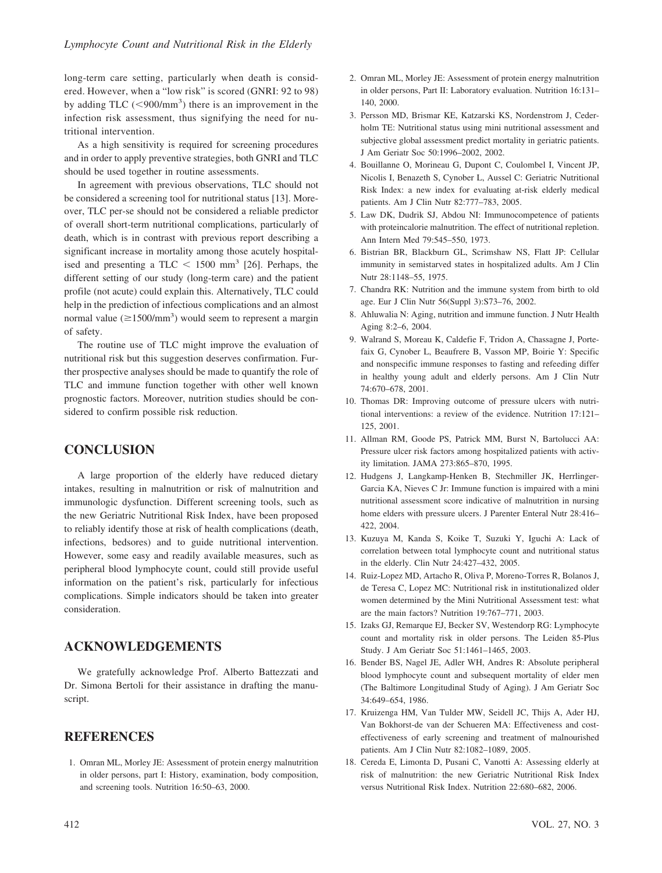long-term care setting, particularly when death is considered. However, when a "low risk" is scored (GNRI: 92 to 98) by adding TLC  $(< 900/nm<sup>3</sup>)$  there is an improvement in the infection risk assessment, thus signifying the need for nutritional intervention.

As a high sensitivity is required for screening procedures and in order to apply preventive strategies, both GNRI and TLC should be used together in routine assessments.

In agreement with previous observations, TLC should not be considered a screening tool for nutritional status [13]. Moreover, TLC per-se should not be considered a reliable predictor of overall short-term nutritional complications, particularly of death, which is in contrast with previous report describing a significant increase in mortality among those acutely hospitalised and presenting a TLC  $\lt$  1500 mm<sup>3</sup> [26]. Perhaps, the different setting of our study (long-term care) and the patient profile (not acute) could explain this. Alternatively, TLC could help in the prediction of infectious complications and an almost normal value ( $\geq 1500/\text{mm}^3$ ) would seem to represent a margin of safety.

The routine use of TLC might improve the evaluation of nutritional risk but this suggestion deserves confirmation. Further prospective analyses should be made to quantify the role of TLC and immune function together with other well known prognostic factors. Moreover, nutrition studies should be considered to confirm possible risk reduction.

## **CONCLUSION**

A large proportion of the elderly have reduced dietary intakes, resulting in malnutrition or risk of malnutrition and immunologic dysfunction. Different screening tools, such as the new Geriatric Nutritional Risk Index, have been proposed to reliably identify those at risk of health complications (death, infections, bedsores) and to guide nutritional intervention. However, some easy and readily available measures, such as peripheral blood lymphocyte count, could still provide useful information on the patient's risk, particularly for infectious complications. Simple indicators should be taken into greater consideration.

## **ACKNOWLEDGEMENTS**

We gratefully acknowledge Prof. Alberto Battezzati and Dr. Simona Bertoli for their assistance in drafting the manuscript.

## **REFERENCES**

1. Omran ML, Morley JE: Assessment of protein energy malnutrition in older persons, part I: History, examination, body composition, and screening tools. Nutrition 16:50–63, 2000.

- 2. Omran ML, Morley JE: Assessment of protein energy malnutrition in older persons, Part II: Laboratory evaluation. Nutrition 16:131– 140, 2000.
- 3. Persson MD, Brismar KE, Katzarski KS, Nordenstrom J, Cederholm TE: Nutritional status using mini nutritional assessment and subjective global assessment predict mortality in geriatric patients. J Am Geriatr Soc 50:1996–2002, 2002.
- 4. Bouillanne O, Morineau G, Dupont C, Coulombel I, Vincent JP, Nicolis I, Benazeth S, Cynober L, Aussel C: Geriatric Nutritional Risk Index: a new index for evaluating at-risk elderly medical patients. Am J Clin Nutr 82:777–783, 2005.
- 5. Law DK, Dudrik SJ, Abdou NI: Immunocompetence of patients with proteincalorie malnutrition. The effect of nutritional repletion. Ann Intern Med 79:545–550, 1973.
- 6. Bistrian BR, Blackburn GL, Scrimshaw NS, Flatt JP: Cellular immunity in semistarved states in hospitalized adults. Am J Clin Nutr 28:1148–55, 1975.
- 7. Chandra RK: Nutrition and the immune system from birth to old age. Eur J Clin Nutr 56(Suppl 3):S73–76, 2002.
- 8. Ahluwalia N: Aging, nutrition and immune function. J Nutr Health Aging 8:2–6, 2004.
- 9. Walrand S, Moreau K, Caldefie F, Tridon A, Chassagne J, Portefaix G, Cynober L, Beaufrere B, Vasson MP, Boirie Y: Specific and nonspecific immune responses to fasting and refeeding differ in healthy young adult and elderly persons. Am J Clin Nutr 74:670–678, 2001.
- 10. Thomas DR: Improving outcome of pressure ulcers with nutritional interventions: a review of the evidence. Nutrition 17:121– 125, 2001.
- 11. Allman RM, Goode PS, Patrick MM, Burst N, Bartolucci AA: Pressure ulcer risk factors among hospitalized patients with activity limitation. JAMA 273:865–870, 1995.
- 12. Hudgens J, Langkamp-Henken B, Stechmiller JK, Herrlinger-Garcia KA, Nieves C Jr: Immune function is impaired with a mini nutritional assessment score indicative of malnutrition in nursing home elders with pressure ulcers. J Parenter Enteral Nutr 28:416– 422, 2004.
- 13. Kuzuya M, Kanda S, Koike T, Suzuki Y, Iguchi A: Lack of correlation between total lymphocyte count and nutritional status in the elderly. Clin Nutr 24:427–432, 2005.
- 14. Ruiz-Lopez MD, Artacho R, Oliva P, Moreno-Torres R, Bolanos J, de Teresa C, Lopez MC: Nutritional risk in institutionalized older women determined by the Mini Nutritional Assessment test: what are the main factors? Nutrition 19:767–771, 2003.
- 15. Izaks GJ, Remarque EJ, Becker SV, Westendorp RG: Lymphocyte count and mortality risk in older persons. The Leiden 85-Plus Study. J Am Geriatr Soc 51:1461–1465, 2003.
- 16. Bender BS, Nagel JE, Adler WH, Andres R: Absolute peripheral blood lymphocyte count and subsequent mortality of elder men (The Baltimore Longitudinal Study of Aging). J Am Geriatr Soc 34:649–654, 1986.
- 17. Kruizenga HM, Van Tulder MW, Seidell JC, Thijs A, Ader HJ, Van Bokhorst-de van der Schueren MA: Effectiveness and costeffectiveness of early screening and treatment of malnourished patients. Am J Clin Nutr 82:1082–1089, 2005.
- 18. Cereda E, Limonta D, Pusani C, Vanotti A: Assessing elderly at risk of malnutrition: the new Geriatric Nutritional Risk Index versus Nutritional Risk Index. Nutrition 22:680–682, 2006.